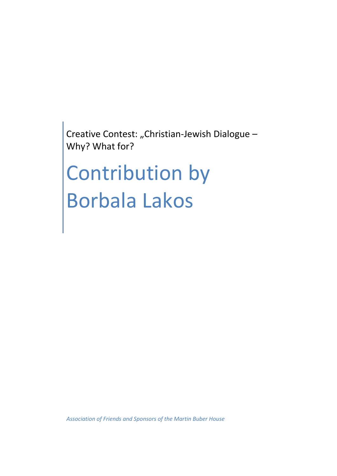Creative Contest: "Christian-Jewish Dialogue -Why? What for?

# Contribution by Borbala Lakos

*Association of Friends and Sponsors of the Martin Buber House*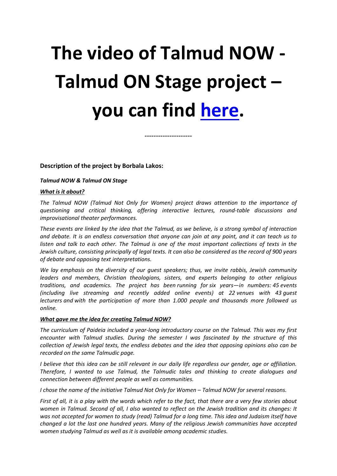# **The video of Talmud NOW - Talmud ON Stage project – you can find [here.](https://drive.google.com/file/d/13Gr_-I9f8LcGoFKtVlnNdn9FSmr9Obpy/view?usp=sharing)**

*---------------------*

# **Description of the project by Borbala Lakos:**

# *Talmud NOW & Talmud ON Stage*

#### *What is it about?*

*The Talmud NOW (Talmud Not Only for Women) project draws attention to the importance of questioning and critical thinking, offering interactive lectures, round-table discussions and improvisational theater performances.* 

*These events are linked by the idea that the Talmud, as we believe, is a strong symbol of interaction and debate. It is an endless conversation that anyone can join at any point, and it can teach us to listen and talk to each other. The Talmud is one of the most important collections of texts in the Jewish culture, consisting principally of legal texts. It can also be considered as the record of 900 years of debate and opposing text interpretations.*

*We lay emphasis on the diversity of our guest speakers; thus, we invite rabbis, Jewish community leaders and members, Christian theologians, sisters, and experts belonging to other religious traditions, and academics. The project has been running for six years—in numbers: 45 events (including live streaming and recently added online events) at 22 venues with 43 guest lecturers and with the participation of more than 1.000 people and thousands more followed us online.*

# *What gave me the idea for creating Talmud NOW?*

*The curriculum of Paideia included a year-long introductory course on the Talmud. This was my first encounter with Talmud studies. During the semester I was fascinated by the structure of this collection of Jewish legal texts, the endless debates and the idea that opposing opinions also can be recorded on the same Talmudic page.*

*I believe that this idea can be still relevant in our daily life regardless our gender, age or affiliation. Therefore, I wanted to use Talmud, the Talmudic tales and thinking to create dialogues and connection between different people as well as communities.* 

*I chose the name of the initiative Talmud Not Only for Women – Talmud NOW for several reasons.* 

*First of all, it is a play with the words which refer to the fact, that there are a very few stories about women in Talmud. Second of all, I also wanted to reflect on the Jewish tradition and its changes: It was not accepted for women to study (read) Talmud for a long time. This idea and Judaism itself have changed a lot the last one hundred years. Many of the religious Jewish communities have accepted women studying Talmud as well as it is available among academic studies.*